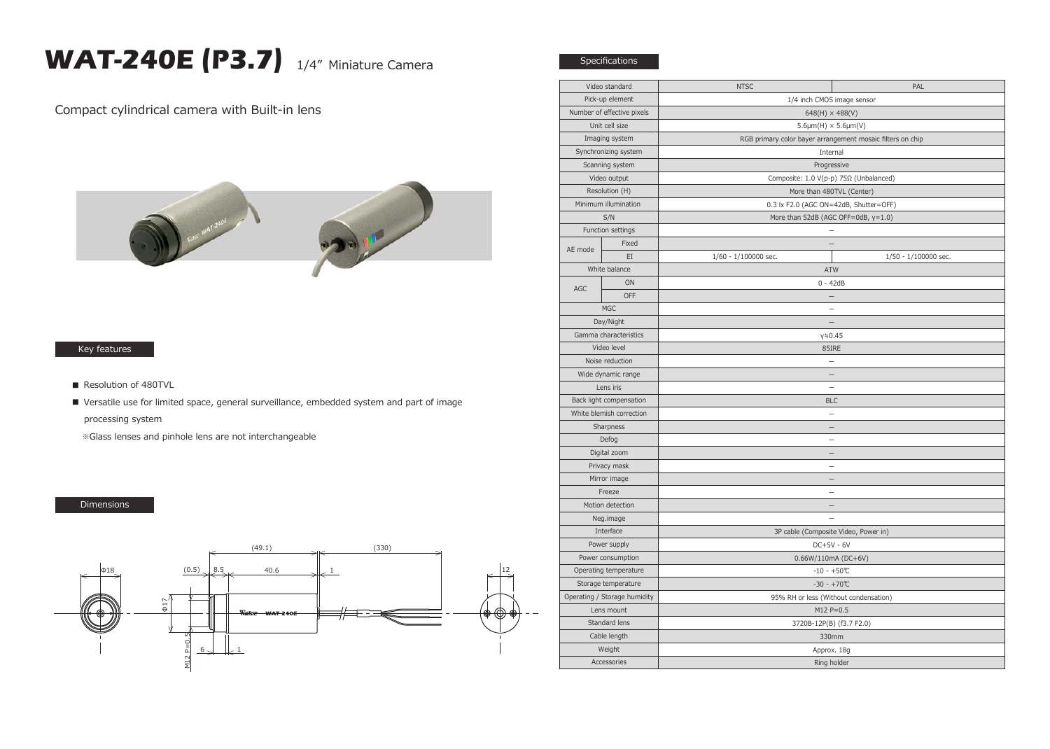## **WAT-240E (P3.7)** 1/4" Miniature Camera

Compact cylindrical camera with Built-in lens



## Key features

- Resolution of 480TVL
- Versatile use for limited space, general surveillance, embedded system and part of image processing system

※Glass lenses and pinhole lens are not interchangeable

## Dimensions



| Video standard               |       | <b>NTSC</b>                                                | PAL                  |
|------------------------------|-------|------------------------------------------------------------|----------------------|
| Pick-up element              |       | 1/4 inch CMOS image sensor                                 |                      |
| Number of effective pixels   |       | $648(H) \times 488(V)$                                     |                      |
| Unit cell size               |       | $5.6 \mu m(H) \times 5.6 \mu m(V)$                         |                      |
| Imaging system               |       | RGB primary color bayer arrangement mosaic filters on chip |                      |
| Synchronizing system         |       | Internal                                                   |                      |
| Scanning system              |       | Progressive                                                |                      |
| Video output                 |       | Composite: 1.0 V(p-p) 75Ω (Unbalanced)                     |                      |
| Resolution (H)               |       | More than 480TVL (Center)                                  |                      |
| Minimum illumination         |       | 0.3 lx F2.0 (AGC ON=42dB, Shutter=OFF)                     |                      |
| S/N                          |       | More than 52dB (AGC OFF=0dB, y=1.0)                        |                      |
| Function settings            |       |                                                            |                      |
| AE mode                      | Fixed | $\equiv$                                                   |                      |
|                              | EI    | 1/60 - 1/100000 sec.                                       | 1/50 - 1/100000 sec. |
| White balance                |       | ATW                                                        |                      |
| AGC                          | ON    | $0 - 42dB$                                                 |                      |
|                              | OFF   |                                                            |                      |
| <b>MGC</b>                   |       |                                                            |                      |
| Day/Night                    |       | $\qquad \qquad -$                                          |                      |
| Gamma characteristics        |       | γ≒0.45                                                     |                      |
| Video level                  |       | 85IRE                                                      |                      |
| Noise reduction              |       | $\overline{\phantom{0}}$                                   |                      |
| Wide dynamic range           |       |                                                            |                      |
| Lens iris                    |       | $\overline{\phantom{0}}$                                   |                      |
| Back light compensation      |       | <b>BLC</b>                                                 |                      |
| White blemish correction     |       | $\qquad \qquad$                                            |                      |
| Sharpness                    |       | $\overline{\phantom{0}}$                                   |                      |
| Defog                        |       |                                                            |                      |
| Digital zoom                 |       | $\overline{\phantom{0}}$                                   |                      |
| Privacy mask                 |       |                                                            |                      |
| Mirror image                 |       |                                                            |                      |
| Freeze                       |       |                                                            |                      |
| Motion detection             |       |                                                            |                      |
| Neg.image                    |       |                                                            |                      |
| Interface                    |       | 3P cable (Composite Video, Power in)                       |                      |
| Power supply                 |       | $DC+5V - 6V$                                               |                      |
| Power consumption            |       | 0.66W/110mA (DC+6V)                                        |                      |
| Operating temperature        |       | $-10 - +50$ °C                                             |                      |
| Storage temperature          |       | $-30 - +70$ °C                                             |                      |
| Operating / Storage humidity |       | 95% RH or less (Without condensation)                      |                      |
| Lens mount                   |       | $M12 P = 0.5$                                              |                      |
| Standard lens                |       | 3720B-12P(B) (f3.7 F2.0)                                   |                      |
| Cable length                 |       | 330mm                                                      |                      |
| Weight                       |       | Approx. 18g                                                |                      |
| Accessories                  |       | Ring holder                                                |                      |
|                              |       |                                                            |                      |

Specifications